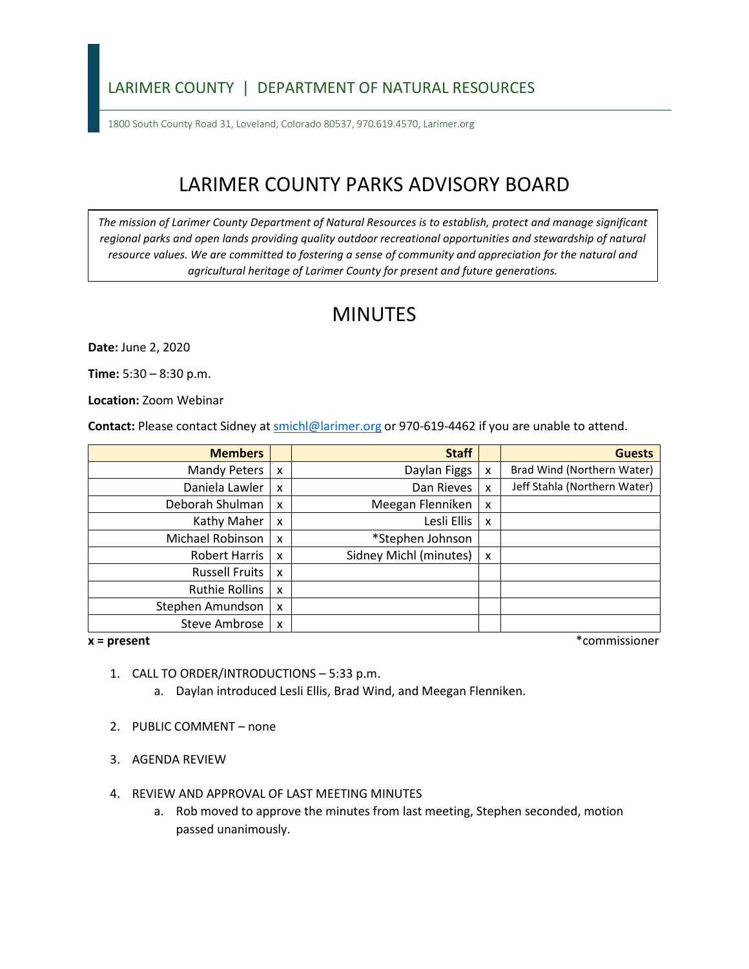## LARIMER COUNTY | DEPARTMENT OF NATURAL RESOURCES

1800 South County Road 31, Loveland, Colorado 80537, 970.619.4570, Larimer.org

# LARIMER COUNTY PARKS ADVISORY BOARD

*The mission of Larimer County Department of Natural Resources is to establish, protect and manage significant*  regional parks and open lands providing quality outdoor recreational opportunities and stewardship of natural *resource values. We are committed to fostering a sense of community and appreciation for the natural and agricultural heritage of Larimer County for present and future generations.*

## MINUTES

**Date:** June 2, 2020

**Time:** 5:30 – 8:30 p.m.

**Location:** Zoom Webinar

**Contact:** Please contact Sidney a[t smichl@larimer.org](mailto:smichl@larimer.org) or 970-619-4462 if you are unable to attend.

| <b>Members</b>        |                           | <b>Staff</b>           |   | <b>Guests</b>                |
|-----------------------|---------------------------|------------------------|---|------------------------------|
| Mandy Peters          | $\boldsymbol{\mathsf{x}}$ | Daylan Figgs           | x | Brad Wind (Northern Water)   |
| Daniela Lawler        | $\boldsymbol{\mathsf{x}}$ | Dan Rieves             | x | Jeff Stahla (Northern Water) |
| Deborah Shulman       | $\boldsymbol{\mathsf{x}}$ | Meegan Flenniken       | x |                              |
| Kathy Maher           | $\boldsymbol{\mathsf{x}}$ | Lesli Ellis            | x |                              |
| Michael Robinson      | $\boldsymbol{\mathsf{x}}$ | *Stephen Johnson       |   |                              |
| Robert Harris         | $\boldsymbol{\mathsf{x}}$ | Sidney Michl (minutes) | x |                              |
| <b>Russell Fruits</b> | $\boldsymbol{\mathsf{x}}$ |                        |   |                              |
| Ruthie Rollins        | $\boldsymbol{\mathsf{x}}$ |                        |   |                              |
| Stephen Amundson      | X                         |                        |   |                              |
| Steve Ambrose         | $\boldsymbol{\mathsf{x}}$ |                        |   |                              |

**x = present** \*commissioner

- 1. CALL TO ORDER/INTRODUCTIONS 5:33 p.m.
	- a. Daylan introduced Lesli Ellis, Brad Wind, and Meegan Flenniken.
- 2. PUBLIC COMMENT none
- 3. AGENDA REVIEW
- 4. REVIEW AND APPROVAL OF LAST MEETING MINUTES
	- a. Rob moved to approve the minutes from last meeting, Stephen seconded, motion passed unanimously.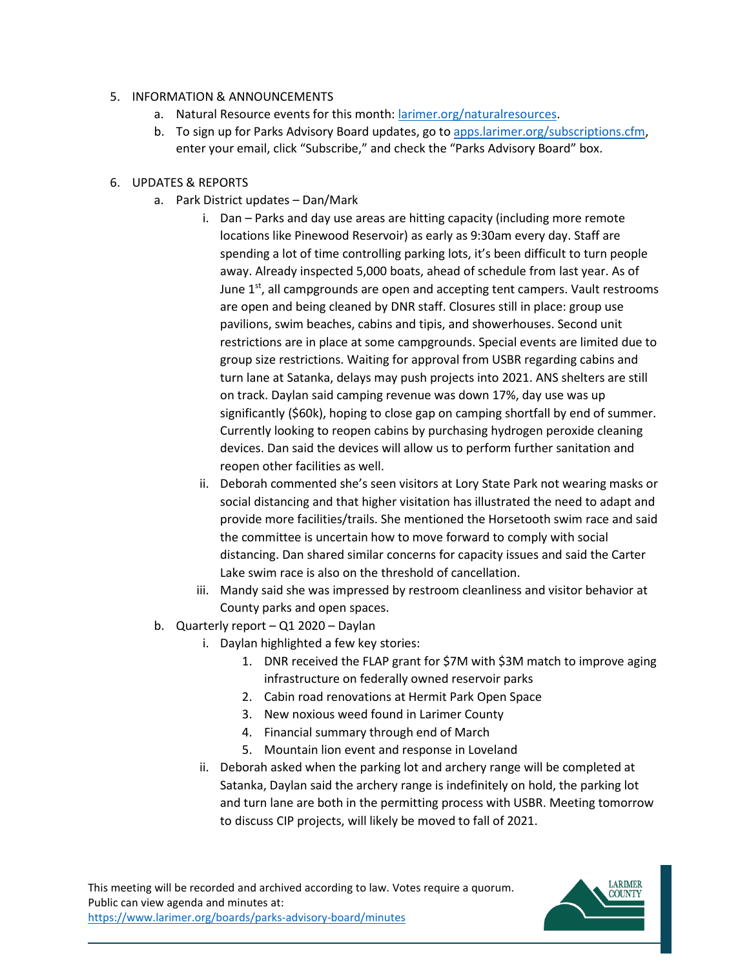#### 5. INFORMATION & ANNOUNCEMENTS

- a. Natural Resource events for this month: [larimer.org/naturalresources.](https://www.larimer.org/naturalresources)
- b. To sign up for Parks Advisory Board updates, go to [apps.larimer.org/subscriptions.cfm,](https://apps.larimer.org/subscriptions.cfm) enter your email, click "Subscribe," and check the "Parks Advisory Board" box.

#### 6. UPDATES & REPORTS

- a. Park District updates Dan/Mark
	- i. Dan Parks and day use areas are hitting capacity (including more remote locations like Pinewood Reservoir) as early as 9:30am every day. Staff are spending a lot of time controlling parking lots, it's been difficult to turn people away. Already inspected 5,000 boats, ahead of schedule from last year. As of June 1<sup>st</sup>, all campgrounds are open and accepting tent campers. Vault restrooms are open and being cleaned by DNR staff. Closures still in place: group use pavilions, swim beaches, cabins and tipis, and showerhouses. Second unit restrictions are in place at some campgrounds. Special events are limited due to group size restrictions. Waiting for approval from USBR regarding cabins and turn lane at Satanka, delays may push projects into 2021. ANS shelters are still on track. Daylan said camping revenue was down 17%, day use was up significantly (\$60k), hoping to close gap on camping shortfall by end of summer. Currently looking to reopen cabins by purchasing hydrogen peroxide cleaning devices. Dan said the devices will allow us to perform further sanitation and reopen other facilities as well.
	- ii. Deborah commented she's seen visitors at Lory State Park not wearing masks or social distancing and that higher visitation has illustrated the need to adapt and provide more facilities/trails. She mentioned the Horsetooth swim race and said the committee is uncertain how to move forward to comply with social distancing. Dan shared similar concerns for capacity issues and said the Carter Lake swim race is also on the threshold of cancellation.
	- iii. Mandy said she was impressed by restroom cleanliness and visitor behavior at County parks and open spaces.
- b. Quarterly report Q1 2020 Daylan
	- i. Daylan highlighted a few key stories:
		- 1. DNR received the FLAP grant for \$7M with \$3M match to improve aging infrastructure on federally owned reservoir parks
		- 2. Cabin road renovations at Hermit Park Open Space
		- 3. New noxious weed found in Larimer County
		- 4. Financial summary through end of March
		- 5. Mountain lion event and response in Loveland
	- ii. Deborah asked when the parking lot and archery range will be completed at Satanka, Daylan said the archery range is indefinitely on hold, the parking lot and turn lane are both in the permitting process with USBR. Meeting tomorrow to discuss CIP projects, will likely be moved to fall of 2021.

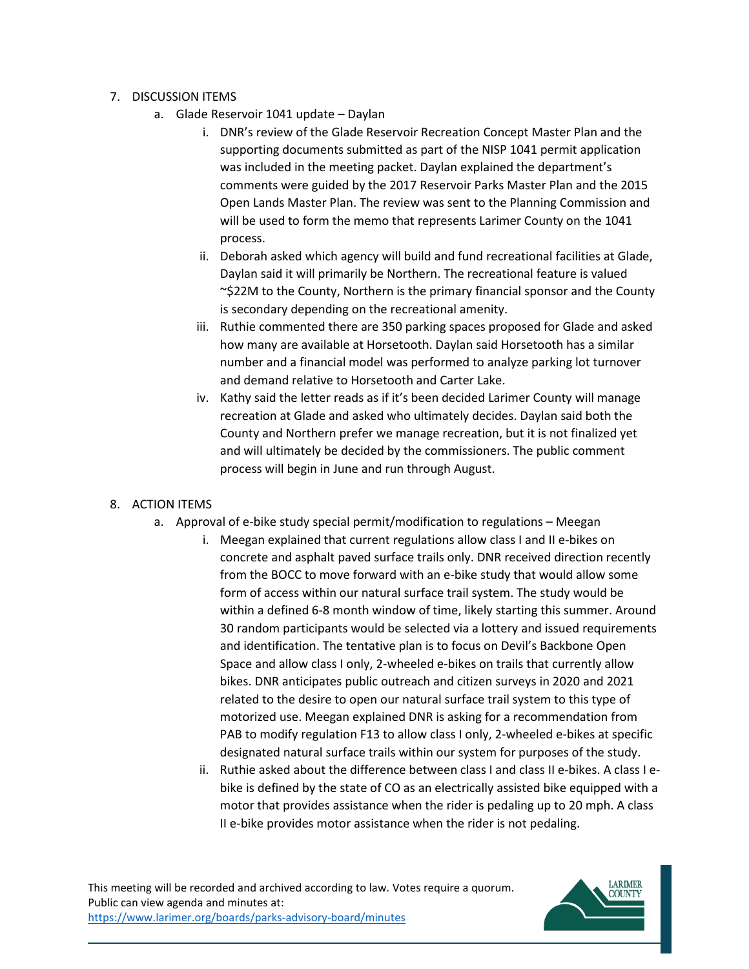- 7. DISCUSSION ITEMS
	- a. Glade Reservoir 1041 update Daylan
		- i. DNR's review of the Glade Reservoir Recreation Concept Master Plan and the supporting documents submitted as part of the NISP 1041 permit application was included in the meeting packet. Daylan explained the department's comments were guided by the 2017 Reservoir Parks Master Plan and the 2015 Open Lands Master Plan. The review was sent to the Planning Commission and will be used to form the memo that represents Larimer County on the 1041 process.
		- ii. Deborah asked which agency will build and fund recreational facilities at Glade, Daylan said it will primarily be Northern. The recreational feature is valued ~\$22M to the County, Northern is the primary financial sponsor and the County is secondary depending on the recreational amenity.
		- iii. Ruthie commented there are 350 parking spaces proposed for Glade and asked how many are available at Horsetooth. Daylan said Horsetooth has a similar number and a financial model was performed to analyze parking lot turnover and demand relative to Horsetooth and Carter Lake.
		- iv. Kathy said the letter reads as if it's been decided Larimer County will manage recreation at Glade and asked who ultimately decides. Daylan said both the County and Northern prefer we manage recreation, but it is not finalized yet and will ultimately be decided by the commissioners. The public comment process will begin in June and run through August.

### 8. ACTION ITEMS

- a. Approval of e-bike study special permit/modification to regulations Meegan
	- i. Meegan explained that current regulations allow class I and II e-bikes on concrete and asphalt paved surface trails only. DNR received direction recently from the BOCC to move forward with an e-bike study that would allow some form of access within our natural surface trail system. The study would be within a defined 6-8 month window of time, likely starting this summer. Around 30 random participants would be selected via a lottery and issued requirements and identification. The tentative plan is to focus on Devil's Backbone Open Space and allow class I only, 2-wheeled e-bikes on trails that currently allow bikes. DNR anticipates public outreach and citizen surveys in 2020 and 2021 related to the desire to open our natural surface trail system to this type of motorized use. Meegan explained DNR is asking for a recommendation from PAB to modify regulation F13 to allow class I only, 2-wheeled e-bikes at specific designated natural surface trails within our system for purposes of the study.
	- ii. Ruthie asked about the difference between class I and class II e-bikes. A class I ebike is defined by the state of CO as an electrically assisted bike equipped with a motor that provides assistance when the rider is pedaling up to 20 mph. A class II e-bike provides motor assistance when the rider is not pedaling.

This meeting will be recorded and archived according to law. Votes require a quorum. Public can view agenda and minutes at: <https://www.larimer.org/boards/parks-advisory-board/minutes>

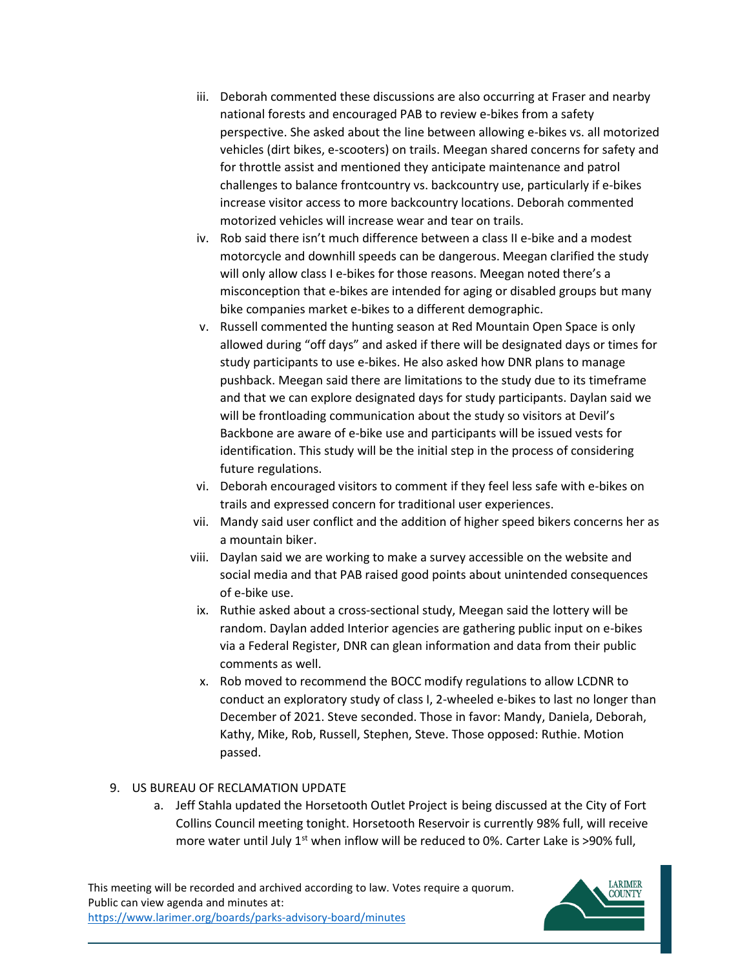- iii. Deborah commented these discussions are also occurring at Fraser and nearby national forests and encouraged PAB to review e-bikes from a safety perspective. She asked about the line between allowing e-bikes vs. all motorized vehicles (dirt bikes, e-scooters) on trails. Meegan shared concerns for safety and for throttle assist and mentioned they anticipate maintenance and patrol challenges to balance frontcountry vs. backcountry use, particularly if e-bikes increase visitor access to more backcountry locations. Deborah commented motorized vehicles will increase wear and tear on trails.
- iv. Rob said there isn't much difference between a class II e-bike and a modest motorcycle and downhill speeds can be dangerous. Meegan clarified the study will only allow class I e-bikes for those reasons. Meegan noted there's a misconception that e-bikes are intended for aging or disabled groups but many bike companies market e-bikes to a different demographic.
- v. Russell commented the hunting season at Red Mountain Open Space is only allowed during "off days" and asked if there will be designated days or times for study participants to use e-bikes. He also asked how DNR plans to manage pushback. Meegan said there are limitations to the study due to its timeframe and that we can explore designated days for study participants. Daylan said we will be frontloading communication about the study so visitors at Devil's Backbone are aware of e-bike use and participants will be issued vests for identification. This study will be the initial step in the process of considering future regulations.
- vi. Deborah encouraged visitors to comment if they feel less safe with e-bikes on trails and expressed concern for traditional user experiences.
- vii. Mandy said user conflict and the addition of higher speed bikers concerns her as a mountain biker.
- viii. Daylan said we are working to make a survey accessible on the website and social media and that PAB raised good points about unintended consequences of e-bike use.
- ix. Ruthie asked about a cross-sectional study, Meegan said the lottery will be random. Daylan added Interior agencies are gathering public input on e-bikes via a Federal Register, DNR can glean information and data from their public comments as well.
- x. Rob moved to recommend the BOCC modify regulations to allow LCDNR to conduct an exploratory study of class I, 2-wheeled e-bikes to last no longer than December of 2021. Steve seconded. Those in favor: Mandy, Daniela, Deborah, Kathy, Mike, Rob, Russell, Stephen, Steve. Those opposed: Ruthie. Motion passed.

### 9. US BUREAU OF RECLAMATION UPDATE

a. Jeff Stahla updated the Horsetooth Outlet Project is being discussed at the City of Fort Collins Council meeting tonight. Horsetooth Reservoir is currently 98% full, will receive more water until July  $1<sup>st</sup>$  when inflow will be reduced to 0%. Carter Lake is >90% full,

This meeting will be recorded and archived according to law. Votes require a quorum. Public can view agenda and minutes at: <https://www.larimer.org/boards/parks-advisory-board/minutes>